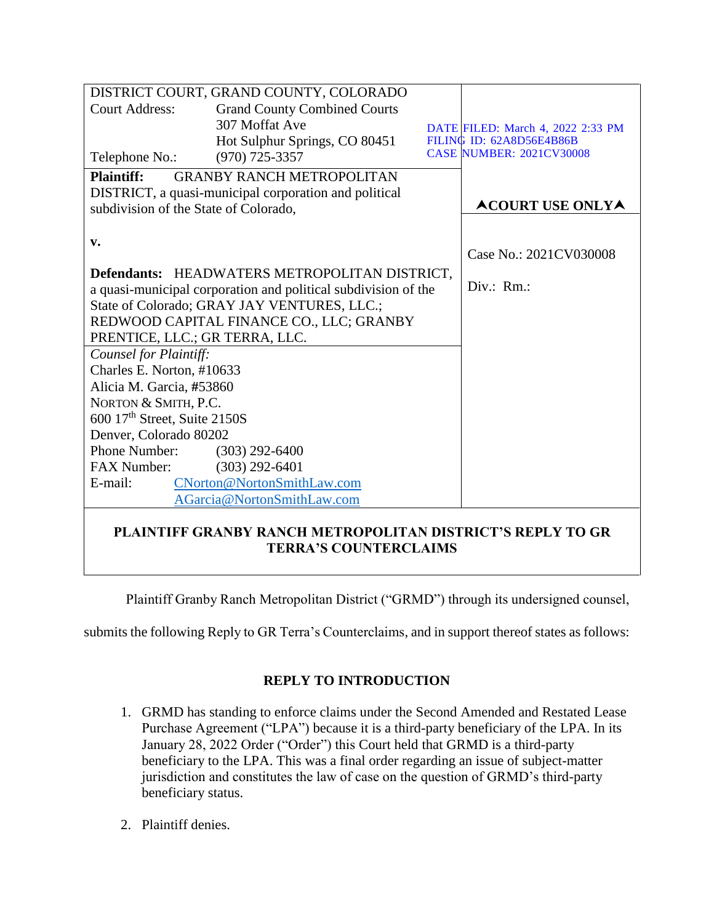| DISTRICT COURT, GRAND COUNTY, COLORADO                            |                                     |  |                                   |
|-------------------------------------------------------------------|-------------------------------------|--|-----------------------------------|
| <b>Court Address:</b>                                             | <b>Grand County Combined Courts</b> |  |                                   |
|                                                                   | 307 Moffat Ave                      |  | DATE FILED: March 4, 2022 2:33 PM |
|                                                                   | Hot Sulphur Springs, CO 80451       |  | FILING ID: 62A8D56E4B86B          |
| Telephone No.:                                                    | $(970)$ 725-3357                    |  | <b>CASE NUMBER: 2021CV30008</b>   |
| <b>Plaintiff:</b>                                                 | <b>GRANBY RANCH METROPOLITAN</b>    |  |                                   |
| DISTRICT, a quasi-municipal corporation and political             |                                     |  |                                   |
| subdivision of the State of Colorado.                             |                                     |  | <b>ACOURT USE ONLYA</b>           |
|                                                                   |                                     |  |                                   |
| v.                                                                |                                     |  |                                   |
|                                                                   |                                     |  | Case No.: 2021CV030008            |
| Defendants: HEADWATERS METROPOLITAN DISTRICT,                     |                                     |  |                                   |
| a quasi-municipal corporation and political subdivision of the    |                                     |  | Div.: Rm.:                        |
| State of Colorado; GRAY JAY VENTURES, LLC.;                       |                                     |  |                                   |
| REDWOOD CAPITAL FINANCE CO., LLC; GRANBY                          |                                     |  |                                   |
| PRENTICE, LLC.; GR TERRA, LLC.                                    |                                     |  |                                   |
| Counsel for Plaintiff:                                            |                                     |  |                                   |
| Charles E. Norton, #10633                                         |                                     |  |                                   |
| Alicia M. Garcia, #53860                                          |                                     |  |                                   |
| NORTON & SMITH, P.C.                                              |                                     |  |                                   |
| 600 17 <sup>th</sup> Street, Suite 2150S                          |                                     |  |                                   |
| Denver, Colorado 80202                                            |                                     |  |                                   |
| Phone Number:                                                     | $(303)$ 292-6400                    |  |                                   |
| FAX Number:                                                       | $(303)$ 292-6401                    |  |                                   |
| E-mail:                                                           | CNorton@NortonSmithLaw.com          |  |                                   |
| AGarcia@NortonSmithLaw.com                                        |                                     |  |                                   |
| <b>PLAINTIFF GRANBY RANCH METROPOLITAN DISTRICT'S REPLY TO GR</b> |                                     |  |                                   |

**TERRA'S COUNTERCLAIMS**

Plaintiff Granby Ranch Metropolitan District ("GRMD") through its undersigned counsel,

submits the following Reply to GR Terra's Counterclaims, and in support thereof states as follows:

# **REPLY TO INTRODUCTION**

- 1. GRMD has standing to enforce claims under the Second Amended and Restated Lease Purchase Agreement ("LPA") because it is a third-party beneficiary of the LPA. In its January 28, 2022 Order ("Order") this Court held that GRMD is a third-party beneficiary to the LPA. This was a final order regarding an issue of subject-matter jurisdiction and constitutes the law of case on the question of GRMD's third-party beneficiary status.
- 2. Plaintiff denies.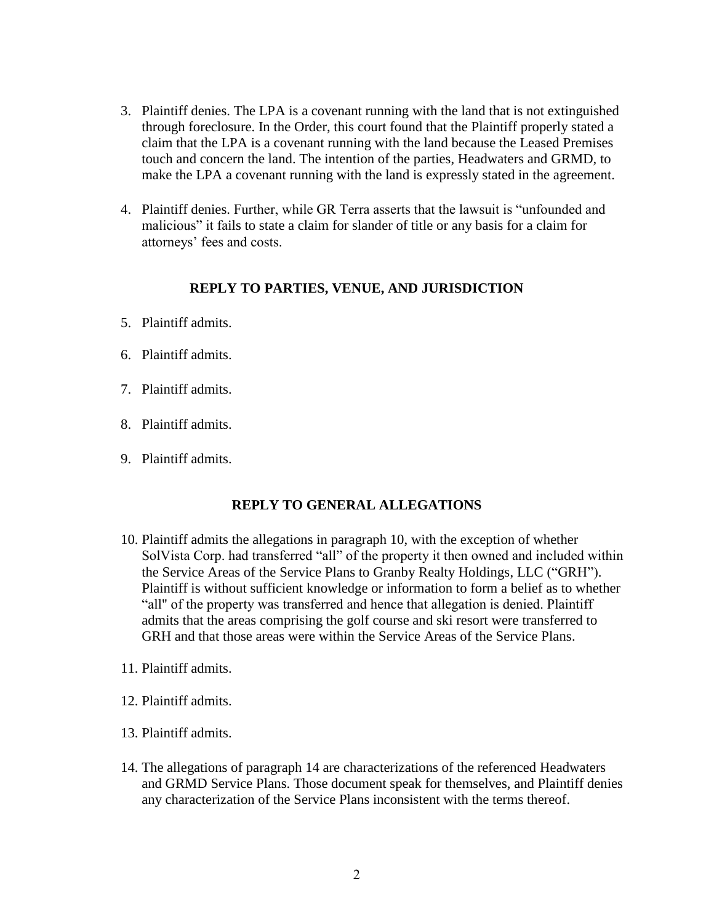- 3. Plaintiff denies. The LPA is a covenant running with the land that is not extinguished through foreclosure. In the Order, this court found that the Plaintiff properly stated a claim that the LPA is a covenant running with the land because the Leased Premises touch and concern the land. The intention of the parties, Headwaters and GRMD, to make the LPA a covenant running with the land is expressly stated in the agreement.
- 4. Plaintiff denies. Further, while GR Terra asserts that the lawsuit is "unfounded and malicious" it fails to state a claim for slander of title or any basis for a claim for attorneys' fees and costs.

#### **REPLY TO PARTIES, VENUE, AND JURISDICTION**

- 5. Plaintiff admits.
- 6. Plaintiff admits.
- 7. Plaintiff admits.
- 8. Plaintiff admits.
- 9. Plaintiff admits.

# **REPLY TO GENERAL ALLEGATIONS**

- 10. Plaintiff admits the allegations in paragraph 10, with the exception of whether SolVista Corp. had transferred "all" of the property it then owned and included within the Service Areas of the Service Plans to Granby Realty Holdings, LLC ("GRH"). Plaintiff is without sufficient knowledge or information to form a belief as to whether "all" of the property was transferred and hence that allegation is denied. Plaintiff admits that the areas comprising the golf course and ski resort were transferred to GRH and that those areas were within the Service Areas of the Service Plans.
- 11. Plaintiff admits.
- 12. Plaintiff admits.
- 13. Plaintiff admits.
- 14. The allegations of paragraph 14 are characterizations of the referenced Headwaters and GRMD Service Plans. Those document speak for themselves, and Plaintiff denies any characterization of the Service Plans inconsistent with the terms thereof.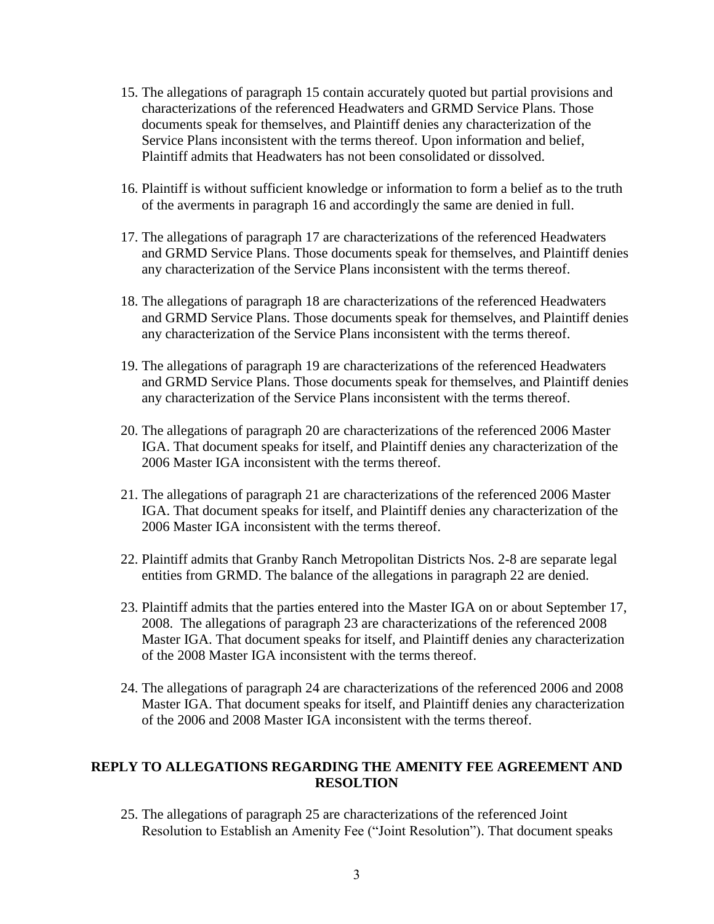- 15. The allegations of paragraph 15 contain accurately quoted but partial provisions and characterizations of the referenced Headwaters and GRMD Service Plans. Those documents speak for themselves, and Plaintiff denies any characterization of the Service Plans inconsistent with the terms thereof. Upon information and belief, Plaintiff admits that Headwaters has not been consolidated or dissolved.
- 16. Plaintiff is without sufficient knowledge or information to form a belief as to the truth of the averments in paragraph 16 and accordingly the same are denied in full.
- 17. The allegations of paragraph 17 are characterizations of the referenced Headwaters and GRMD Service Plans. Those documents speak for themselves, and Plaintiff denies any characterization of the Service Plans inconsistent with the terms thereof.
- 18. The allegations of paragraph 18 are characterizations of the referenced Headwaters and GRMD Service Plans. Those documents speak for themselves, and Plaintiff denies any characterization of the Service Plans inconsistent with the terms thereof.
- 19. The allegations of paragraph 19 are characterizations of the referenced Headwaters and GRMD Service Plans. Those documents speak for themselves, and Plaintiff denies any characterization of the Service Plans inconsistent with the terms thereof.
- 20. The allegations of paragraph 20 are characterizations of the referenced 2006 Master IGA. That document speaks for itself, and Plaintiff denies any characterization of the 2006 Master IGA inconsistent with the terms thereof.
- 21. The allegations of paragraph 21 are characterizations of the referenced 2006 Master IGA. That document speaks for itself, and Plaintiff denies any characterization of the 2006 Master IGA inconsistent with the terms thereof.
- 22. Plaintiff admits that Granby Ranch Metropolitan Districts Nos. 2-8 are separate legal entities from GRMD. The balance of the allegations in paragraph 22 are denied.
- 23. Plaintiff admits that the parties entered into the Master IGA on or about September 17, 2008. The allegations of paragraph 23 are characterizations of the referenced 2008 Master IGA. That document speaks for itself, and Plaintiff denies any characterization of the 2008 Master IGA inconsistent with the terms thereof.
- 24. The allegations of paragraph 24 are characterizations of the referenced 2006 and 2008 Master IGA. That document speaks for itself, and Plaintiff denies any characterization of the 2006 and 2008 Master IGA inconsistent with the terms thereof.

# **REPLY TO ALLEGATIONS REGARDING THE AMENITY FEE AGREEMENT AND RESOLTION**

25. The allegations of paragraph 25 are characterizations of the referenced Joint Resolution to Establish an Amenity Fee ("Joint Resolution"). That document speaks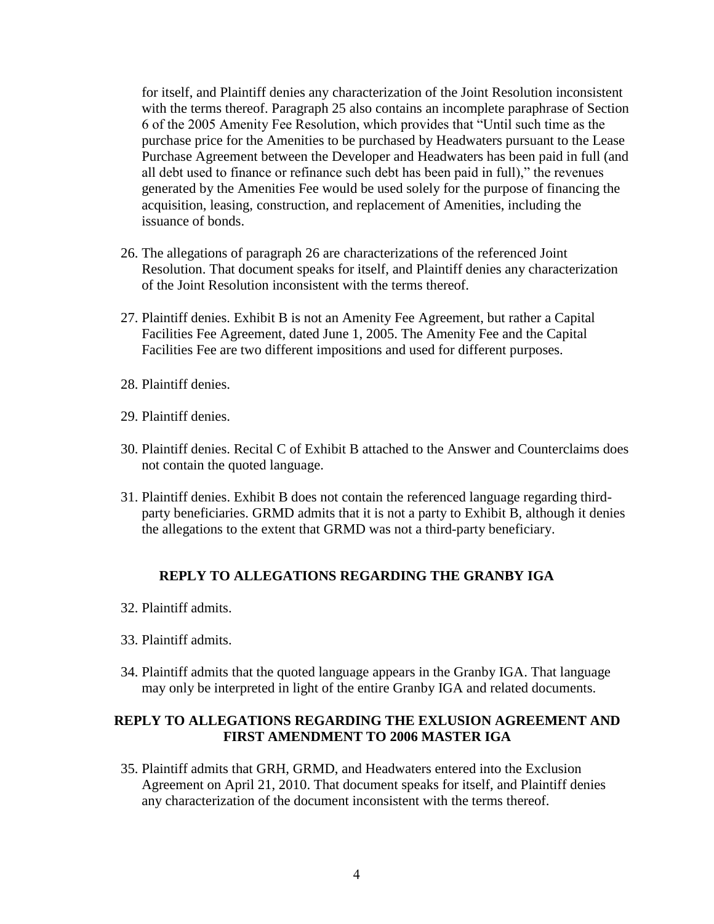for itself, and Plaintiff denies any characterization of the Joint Resolution inconsistent with the terms thereof. Paragraph 25 also contains an incomplete paraphrase of Section 6 of the 2005 Amenity Fee Resolution, which provides that "Until such time as the purchase price for the Amenities to be purchased by Headwaters pursuant to the Lease Purchase Agreement between the Developer and Headwaters has been paid in full (and all debt used to finance or refinance such debt has been paid in full)," the revenues generated by the Amenities Fee would be used solely for the purpose of financing the acquisition, leasing, construction, and replacement of Amenities, including the issuance of bonds.

- 26. The allegations of paragraph 26 are characterizations of the referenced Joint Resolution. That document speaks for itself, and Plaintiff denies any characterization of the Joint Resolution inconsistent with the terms thereof.
- 27. Plaintiff denies. Exhibit B is not an Amenity Fee Agreement, but rather a Capital Facilities Fee Agreement, dated June 1, 2005. The Amenity Fee and the Capital Facilities Fee are two different impositions and used for different purposes.
- 28. Plaintiff denies.
- 29. Plaintiff denies.
- 30. Plaintiff denies. Recital C of Exhibit B attached to the Answer and Counterclaims does not contain the quoted language.
- 31. Plaintiff denies. Exhibit B does not contain the referenced language regarding thirdparty beneficiaries. GRMD admits that it is not a party to Exhibit B, although it denies the allegations to the extent that GRMD was not a third-party beneficiary.

## **REPLY TO ALLEGATIONS REGARDING THE GRANBY IGA**

- 32. Plaintiff admits.
- 33. Plaintiff admits.
- 34. Plaintiff admits that the quoted language appears in the Granby IGA. That language may only be interpreted in light of the entire Granby IGA and related documents.

## **REPLY TO ALLEGATIONS REGARDING THE EXLUSION AGREEMENT AND FIRST AMENDMENT TO 2006 MASTER IGA**

35. Plaintiff admits that GRH, GRMD, and Headwaters entered into the Exclusion Agreement on April 21, 2010. That document speaks for itself, and Plaintiff denies any characterization of the document inconsistent with the terms thereof.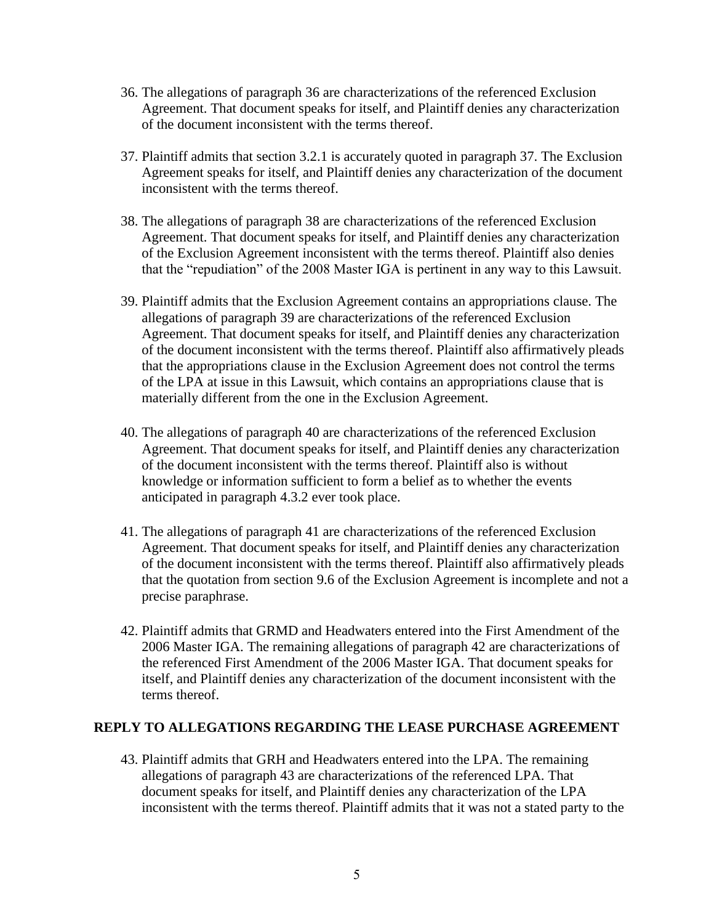- 36. The allegations of paragraph 36 are characterizations of the referenced Exclusion Agreement. That document speaks for itself, and Plaintiff denies any characterization of the document inconsistent with the terms thereof.
- 37. Plaintiff admits that section 3.2.1 is accurately quoted in paragraph 37. The Exclusion Agreement speaks for itself, and Plaintiff denies any characterization of the document inconsistent with the terms thereof.
- 38. The allegations of paragraph 38 are characterizations of the referenced Exclusion Agreement. That document speaks for itself, and Plaintiff denies any characterization of the Exclusion Agreement inconsistent with the terms thereof. Plaintiff also denies that the "repudiation" of the 2008 Master IGA is pertinent in any way to this Lawsuit.
- 39. Plaintiff admits that the Exclusion Agreement contains an appropriations clause. The allegations of paragraph 39 are characterizations of the referenced Exclusion Agreement. That document speaks for itself, and Plaintiff denies any characterization of the document inconsistent with the terms thereof. Plaintiff also affirmatively pleads that the appropriations clause in the Exclusion Agreement does not control the terms of the LPA at issue in this Lawsuit, which contains an appropriations clause that is materially different from the one in the Exclusion Agreement.
- 40. The allegations of paragraph 40 are characterizations of the referenced Exclusion Agreement. That document speaks for itself, and Plaintiff denies any characterization of the document inconsistent with the terms thereof. Plaintiff also is without knowledge or information sufficient to form a belief as to whether the events anticipated in paragraph 4.3.2 ever took place.
- 41. The allegations of paragraph 41 are characterizations of the referenced Exclusion Agreement. That document speaks for itself, and Plaintiff denies any characterization of the document inconsistent with the terms thereof. Plaintiff also affirmatively pleads that the quotation from section 9.6 of the Exclusion Agreement is incomplete and not a precise paraphrase.
- 42. Plaintiff admits that GRMD and Headwaters entered into the First Amendment of the 2006 Master IGA. The remaining allegations of paragraph 42 are characterizations of the referenced First Amendment of the 2006 Master IGA. That document speaks for itself, and Plaintiff denies any characterization of the document inconsistent with the terms thereof.

## **REPLY TO ALLEGATIONS REGARDING THE LEASE PURCHASE AGREEMENT**

43. Plaintiff admits that GRH and Headwaters entered into the LPA. The remaining allegations of paragraph 43 are characterizations of the referenced LPA. That document speaks for itself, and Plaintiff denies any characterization of the LPA inconsistent with the terms thereof. Plaintiff admits that it was not a stated party to the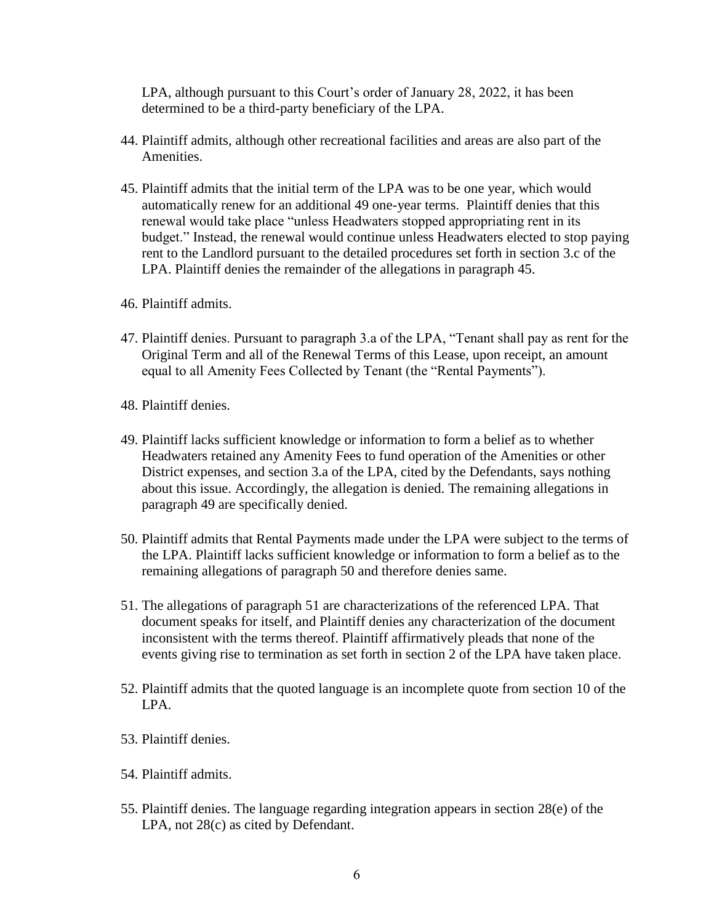LPA, although pursuant to this Court's order of January 28, 2022, it has been determined to be a third-party beneficiary of the LPA.

- 44. Plaintiff admits, although other recreational facilities and areas are also part of the Amenities.
- 45. Plaintiff admits that the initial term of the LPA was to be one year, which would automatically renew for an additional 49 one-year terms. Plaintiff denies that this renewal would take place "unless Headwaters stopped appropriating rent in its budget." Instead, the renewal would continue unless Headwaters elected to stop paying rent to the Landlord pursuant to the detailed procedures set forth in section 3.c of the LPA. Plaintiff denies the remainder of the allegations in paragraph 45.
- 46. Plaintiff admits.
- 47. Plaintiff denies. Pursuant to paragraph 3.a of the LPA, "Tenant shall pay as rent for the Original Term and all of the Renewal Terms of this Lease, upon receipt, an amount equal to all Amenity Fees Collected by Tenant (the "Rental Payments").
- 48. Plaintiff denies.
- 49. Plaintiff lacks sufficient knowledge or information to form a belief as to whether Headwaters retained any Amenity Fees to fund operation of the Amenities or other District expenses, and section 3.a of the LPA, cited by the Defendants, says nothing about this issue. Accordingly, the allegation is denied. The remaining allegations in paragraph 49 are specifically denied.
- 50. Plaintiff admits that Rental Payments made under the LPA were subject to the terms of the LPA. Plaintiff lacks sufficient knowledge or information to form a belief as to the remaining allegations of paragraph 50 and therefore denies same.
- 51. The allegations of paragraph 51 are characterizations of the referenced LPA. That document speaks for itself, and Plaintiff denies any characterization of the document inconsistent with the terms thereof. Plaintiff affirmatively pleads that none of the events giving rise to termination as set forth in section 2 of the LPA have taken place.
- 52. Plaintiff admits that the quoted language is an incomplete quote from section 10 of the LPA.
- 53. Plaintiff denies.
- 54. Plaintiff admits.
- 55. Plaintiff denies. The language regarding integration appears in section 28(e) of the LPA, not 28(c) as cited by Defendant.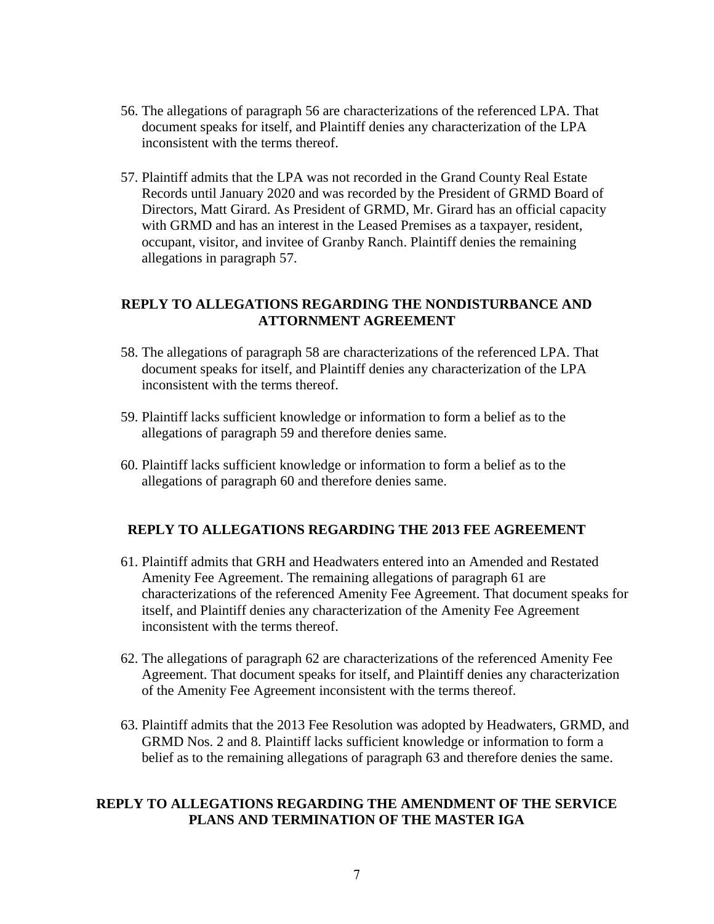- 56. The allegations of paragraph 56 are characterizations of the referenced LPA. That document speaks for itself, and Plaintiff denies any characterization of the LPA inconsistent with the terms thereof.
- 57. Plaintiff admits that the LPA was not recorded in the Grand County Real Estate Records until January 2020 and was recorded by the President of GRMD Board of Directors, Matt Girard. As President of GRMD, Mr. Girard has an official capacity with GRMD and has an interest in the Leased Premises as a taxpayer, resident, occupant, visitor, and invitee of Granby Ranch. Plaintiff denies the remaining allegations in paragraph 57.

# **REPLY TO ALLEGATIONS REGARDING THE NONDISTURBANCE AND ATTORNMENT AGREEMENT**

- 58. The allegations of paragraph 58 are characterizations of the referenced LPA. That document speaks for itself, and Plaintiff denies any characterization of the LPA inconsistent with the terms thereof.
- 59. Plaintiff lacks sufficient knowledge or information to form a belief as to the allegations of paragraph 59 and therefore denies same.
- 60. Plaintiff lacks sufficient knowledge or information to form a belief as to the allegations of paragraph 60 and therefore denies same.

# **REPLY TO ALLEGATIONS REGARDING THE 2013 FEE AGREEMENT**

- 61. Plaintiff admits that GRH and Headwaters entered into an Amended and Restated Amenity Fee Agreement. The remaining allegations of paragraph 61 are characterizations of the referenced Amenity Fee Agreement. That document speaks for itself, and Plaintiff denies any characterization of the Amenity Fee Agreement inconsistent with the terms thereof.
- 62. The allegations of paragraph 62 are characterizations of the referenced Amenity Fee Agreement. That document speaks for itself, and Plaintiff denies any characterization of the Amenity Fee Agreement inconsistent with the terms thereof.
- 63. Plaintiff admits that the 2013 Fee Resolution was adopted by Headwaters, GRMD, and GRMD Nos. 2 and 8. Plaintiff lacks sufficient knowledge or information to form a belief as to the remaining allegations of paragraph 63 and therefore denies the same.

# **REPLY TO ALLEGATIONS REGARDING THE AMENDMENT OF THE SERVICE PLANS AND TERMINATION OF THE MASTER IGA**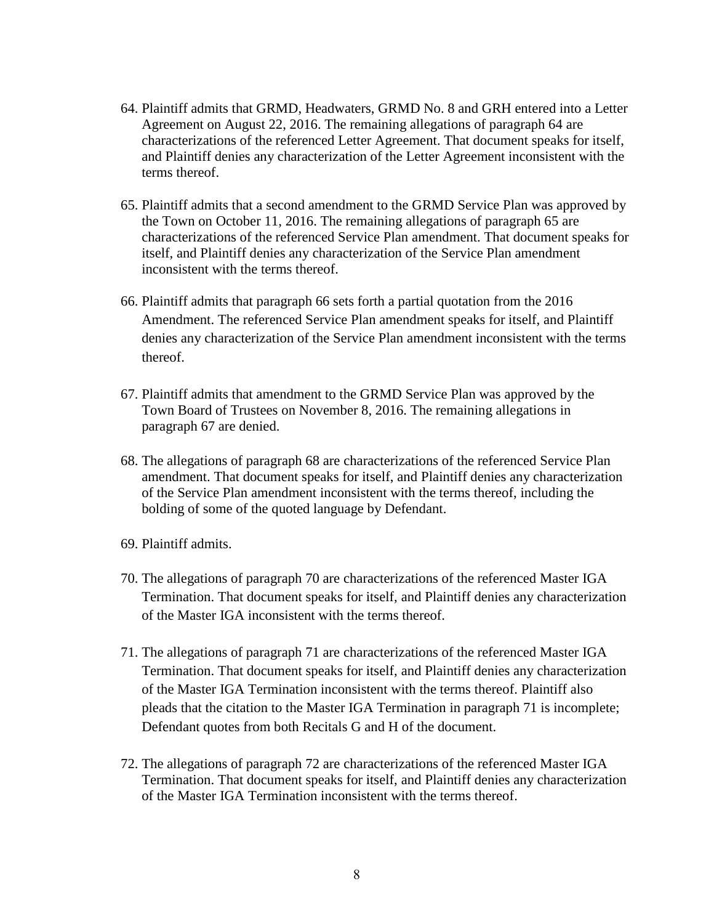- 64. Plaintiff admits that GRMD, Headwaters, GRMD No. 8 and GRH entered into a Letter Agreement on August 22, 2016. The remaining allegations of paragraph 64 are characterizations of the referenced Letter Agreement. That document speaks for itself, and Plaintiff denies any characterization of the Letter Agreement inconsistent with the terms thereof.
- 65. Plaintiff admits that a second amendment to the GRMD Service Plan was approved by the Town on October 11, 2016. The remaining allegations of paragraph 65 are characterizations of the referenced Service Plan amendment. That document speaks for itself, and Plaintiff denies any characterization of the Service Plan amendment inconsistent with the terms thereof.
- 66. Plaintiff admits that paragraph 66 sets forth a partial quotation from the 2016 Amendment. The referenced Service Plan amendment speaks for itself, and Plaintiff denies any characterization of the Service Plan amendment inconsistent with the terms thereof.
- 67. Plaintiff admits that amendment to the GRMD Service Plan was approved by the Town Board of Trustees on November 8, 2016. The remaining allegations in paragraph 67 are denied.
- 68. The allegations of paragraph 68 are characterizations of the referenced Service Plan amendment. That document speaks for itself, and Plaintiff denies any characterization of the Service Plan amendment inconsistent with the terms thereof, including the bolding of some of the quoted language by Defendant.
- 69. Plaintiff admits.
- 70. The allegations of paragraph 70 are characterizations of the referenced Master IGA Termination. That document speaks for itself, and Plaintiff denies any characterization of the Master IGA inconsistent with the terms thereof.
- 71. The allegations of paragraph 71 are characterizations of the referenced Master IGA Termination. That document speaks for itself, and Plaintiff denies any characterization of the Master IGA Termination inconsistent with the terms thereof. Plaintiff also pleads that the citation to the Master IGA Termination in paragraph 71 is incomplete; Defendant quotes from both Recitals G and H of the document.
- 72. The allegations of paragraph 72 are characterizations of the referenced Master IGA Termination. That document speaks for itself, and Plaintiff denies any characterization of the Master IGA Termination inconsistent with the terms thereof.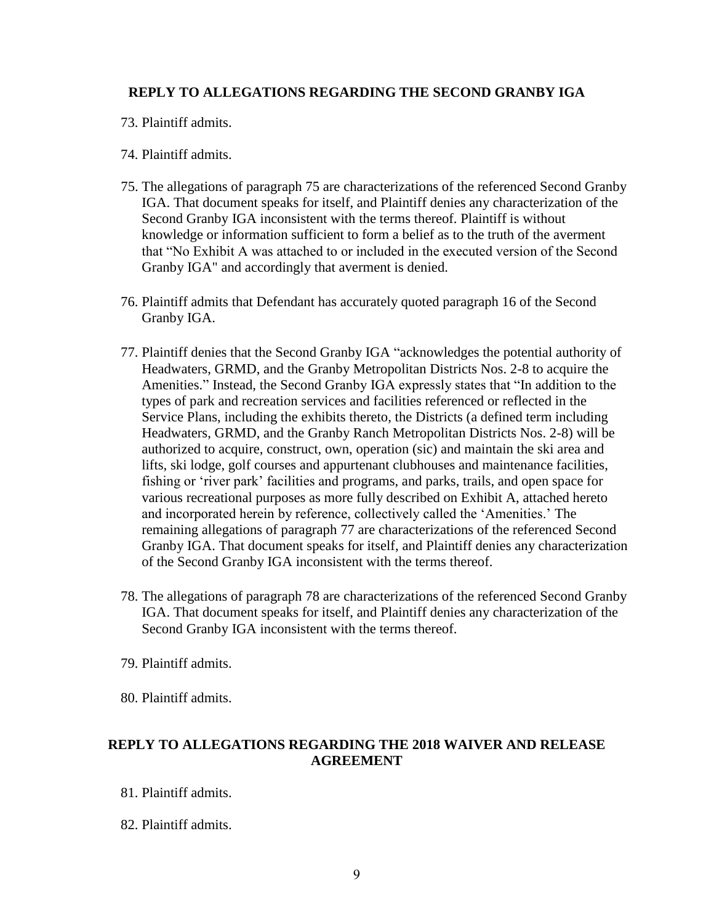# **REPLY TO ALLEGATIONS REGARDING THE SECOND GRANBY IGA**

- 73. Plaintiff admits.
- 74. Plaintiff admits.
- 75. The allegations of paragraph 75 are characterizations of the referenced Second Granby IGA. That document speaks for itself, and Plaintiff denies any characterization of the Second Granby IGA inconsistent with the terms thereof. Plaintiff is without knowledge or information sufficient to form a belief as to the truth of the averment that "No Exhibit A was attached to or included in the executed version of the Second Granby IGA" and accordingly that averment is denied.
- 76. Plaintiff admits that Defendant has accurately quoted paragraph 16 of the Second Granby IGA.
- 77. Plaintiff denies that the Second Granby IGA "acknowledges the potential authority of Headwaters, GRMD, and the Granby Metropolitan Districts Nos. 2-8 to acquire the Amenities." Instead, the Second Granby IGA expressly states that "In addition to the types of park and recreation services and facilities referenced or reflected in the Service Plans, including the exhibits thereto, the Districts (a defined term including Headwaters, GRMD, and the Granby Ranch Metropolitan Districts Nos. 2-8) will be authorized to acquire, construct, own, operation (sic) and maintain the ski area and lifts, ski lodge, golf courses and appurtenant clubhouses and maintenance facilities, fishing or 'river park' facilities and programs, and parks, trails, and open space for various recreational purposes as more fully described on Exhibit A, attached hereto and incorporated herein by reference, collectively called the 'Amenities.' The remaining allegations of paragraph 77 are characterizations of the referenced Second Granby IGA. That document speaks for itself, and Plaintiff denies any characterization of the Second Granby IGA inconsistent with the terms thereof.
- 78. The allegations of paragraph 78 are characterizations of the referenced Second Granby IGA. That document speaks for itself, and Plaintiff denies any characterization of the Second Granby IGA inconsistent with the terms thereof.
- 79. Plaintiff admits.
- 80. Plaintiff admits.

# **REPLY TO ALLEGATIONS REGARDING THE 2018 WAIVER AND RELEASE AGREEMENT**

- 81. Plaintiff admits.
- 82. Plaintiff admits.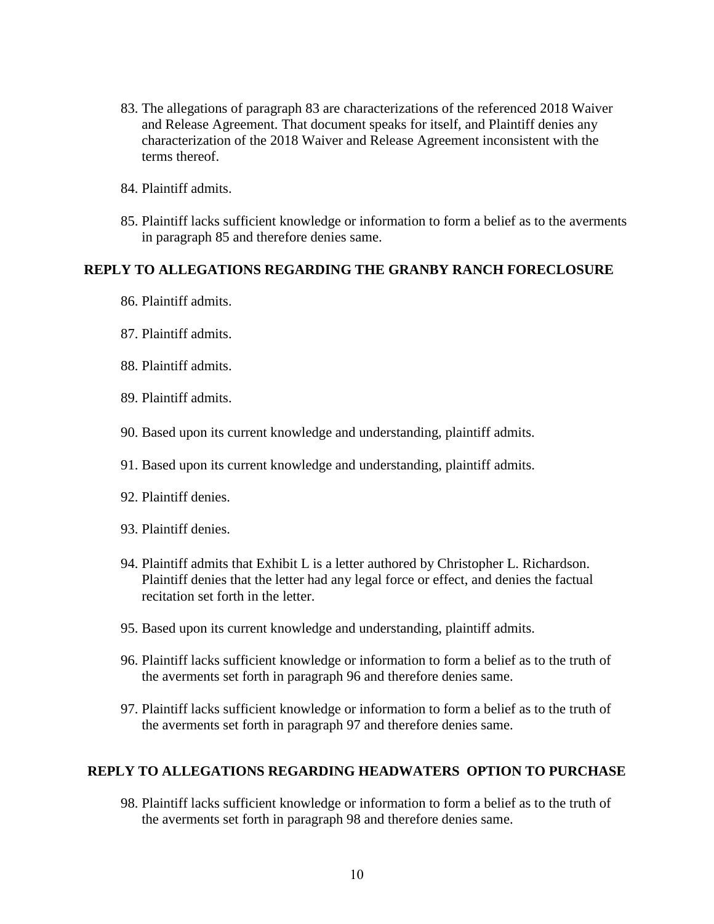- 83. The allegations of paragraph 83 are characterizations of the referenced 2018 Waiver and Release Agreement. That document speaks for itself, and Plaintiff denies any characterization of the 2018 Waiver and Release Agreement inconsistent with the terms thereof.
- 84. Plaintiff admits.
- 85. Plaintiff lacks sufficient knowledge or information to form a belief as to the averments in paragraph 85 and therefore denies same.

### **REPLY TO ALLEGATIONS REGARDING THE GRANBY RANCH FORECLOSURE**

- 86. Plaintiff admits.
- 87. Plaintiff admits.
- 88. Plaintiff admits.
- 89. Plaintiff admits.
- 90. Based upon its current knowledge and understanding, plaintiff admits.
- 91. Based upon its current knowledge and understanding, plaintiff admits.
- 92. Plaintiff denies.
- 93. Plaintiff denies.
- 94. Plaintiff admits that Exhibit L is a letter authored by Christopher L. Richardson. Plaintiff denies that the letter had any legal force or effect, and denies the factual recitation set forth in the letter.
- 95. Based upon its current knowledge and understanding, plaintiff admits.
- 96. Plaintiff lacks sufficient knowledge or information to form a belief as to the truth of the averments set forth in paragraph 96 and therefore denies same.
- 97. Plaintiff lacks sufficient knowledge or information to form a belief as to the truth of the averments set forth in paragraph 97 and therefore denies same.

## **REPLY TO ALLEGATIONS REGARDING HEADWATERS OPTION TO PURCHASE**

98. Plaintiff lacks sufficient knowledge or information to form a belief as to the truth of the averments set forth in paragraph 98 and therefore denies same.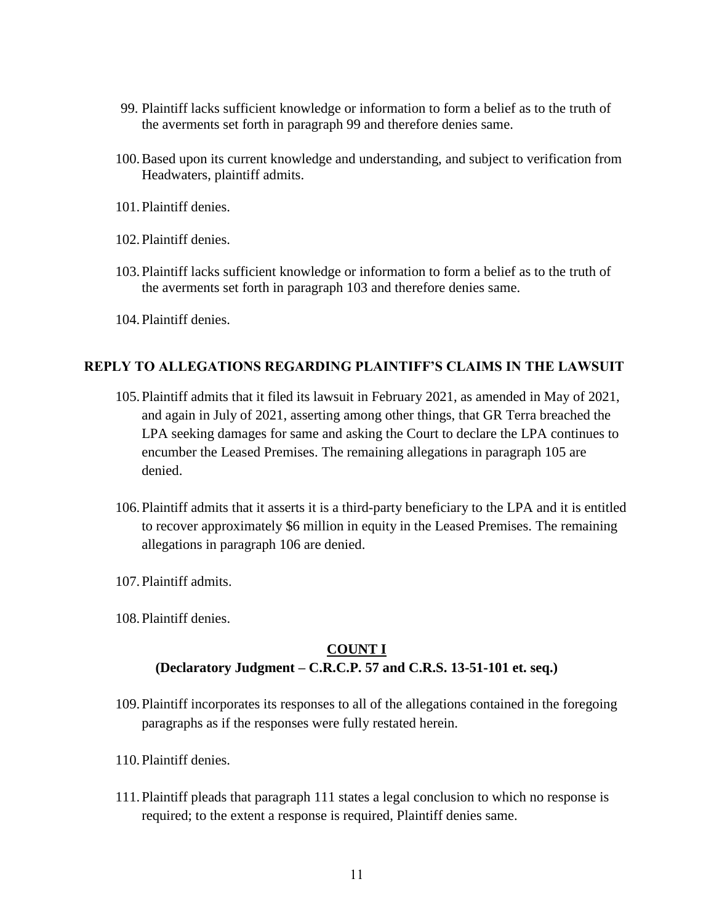- 99. Plaintiff lacks sufficient knowledge or information to form a belief as to the truth of the averments set forth in paragraph 99 and therefore denies same.
- 100.Based upon its current knowledge and understanding, and subject to verification from Headwaters, plaintiff admits.
- 101.Plaintiff denies.
- 102.Plaintiff denies.
- 103.Plaintiff lacks sufficient knowledge or information to form a belief as to the truth of the averments set forth in paragraph 103 and therefore denies same.
- 104.Plaintiff denies.

## **REPLY TO ALLEGATIONS REGARDING PLAINTIFF'S CLAIMS IN THE LAWSUIT**

- 105.Plaintiff admits that it filed its lawsuit in February 2021, as amended in May of 2021, and again in July of 2021, asserting among other things, that GR Terra breached the LPA seeking damages for same and asking the Court to declare the LPA continues to encumber the Leased Premises. The remaining allegations in paragraph 105 are denied.
- 106.Plaintiff admits that it asserts it is a third-party beneficiary to the LPA and it is entitled to recover approximately \$6 million in equity in the Leased Premises. The remaining allegations in paragraph 106 are denied.
- 107.Plaintiff admits.
- 108.Plaintiff denies.

# **COUNT I**

# **(Declaratory Judgment – C.R.C.P. 57 and C.R.S. 13-51-101 et. seq.)**

- 109.Plaintiff incorporates its responses to all of the allegations contained in the foregoing paragraphs as if the responses were fully restated herein.
- 110.Plaintiff denies.
- 111.Plaintiff pleads that paragraph 111 states a legal conclusion to which no response is required; to the extent a response is required, Plaintiff denies same.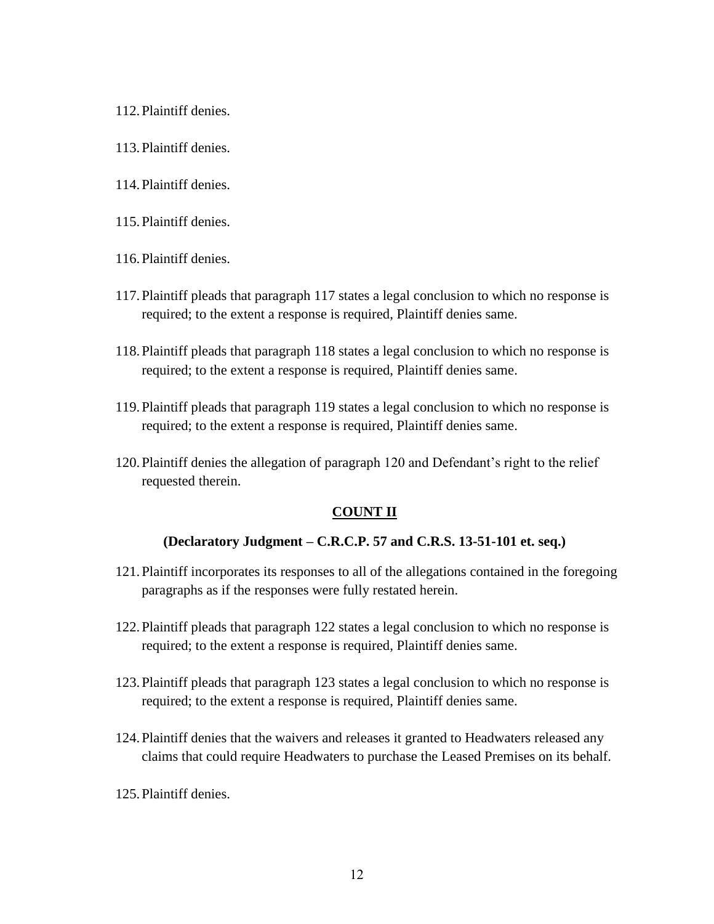- 112.Plaintiff denies.
- 113.Plaintiff denies.
- 114.Plaintiff denies.
- 115.Plaintiff denies.
- 116.Plaintiff denies.
- 117.Plaintiff pleads that paragraph 117 states a legal conclusion to which no response is required; to the extent a response is required, Plaintiff denies same.
- 118.Plaintiff pleads that paragraph 118 states a legal conclusion to which no response is required; to the extent a response is required, Plaintiff denies same.
- 119.Plaintiff pleads that paragraph 119 states a legal conclusion to which no response is required; to the extent a response is required, Plaintiff denies same.
- 120.Plaintiff denies the allegation of paragraph 120 and Defendant's right to the relief requested therein.

## **COUNT II**

#### **(Declaratory Judgment – C.R.C.P. 57 and C.R.S. 13-51-101 et. seq.)**

- 121.Plaintiff incorporates its responses to all of the allegations contained in the foregoing paragraphs as if the responses were fully restated herein.
- 122.Plaintiff pleads that paragraph 122 states a legal conclusion to which no response is required; to the extent a response is required, Plaintiff denies same.
- 123.Plaintiff pleads that paragraph 123 states a legal conclusion to which no response is required; to the extent a response is required, Plaintiff denies same.
- 124.Plaintiff denies that the waivers and releases it granted to Headwaters released any claims that could require Headwaters to purchase the Leased Premises on its behalf.
- 125.Plaintiff denies.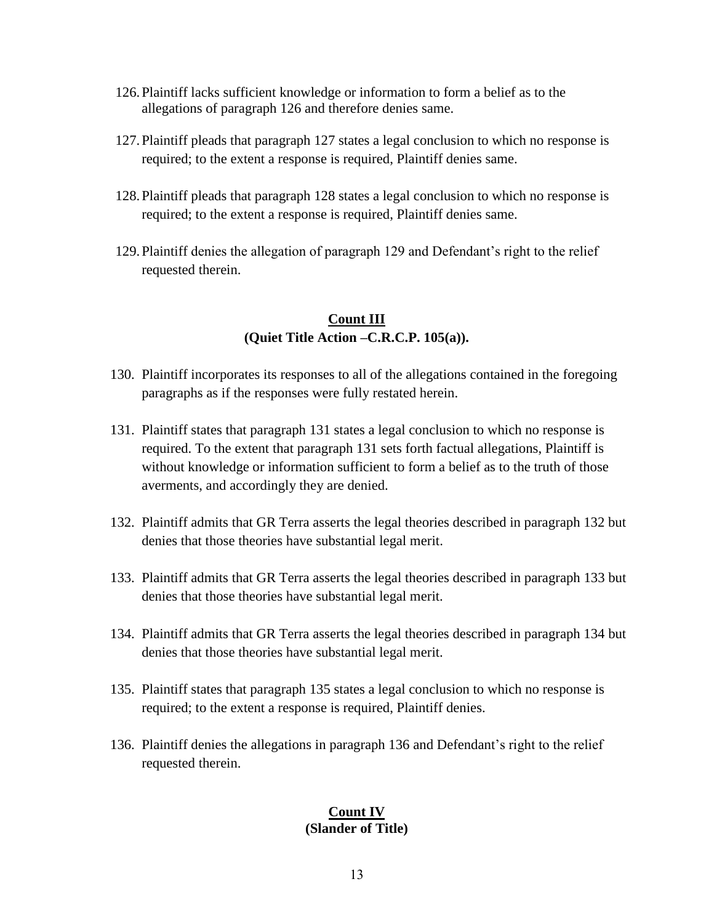- 126.Plaintiff lacks sufficient knowledge or information to form a belief as to the allegations of paragraph 126 and therefore denies same.
- 127.Plaintiff pleads that paragraph 127 states a legal conclusion to which no response is required; to the extent a response is required, Plaintiff denies same.
- 128.Plaintiff pleads that paragraph 128 states a legal conclusion to which no response is required; to the extent a response is required, Plaintiff denies same.
- 129.Plaintiff denies the allegation of paragraph 129 and Defendant's right to the relief requested therein.

# **Count III (Quiet Title Action –C.R.C.P. 105(a)).**

- 130. Plaintiff incorporates its responses to all of the allegations contained in the foregoing paragraphs as if the responses were fully restated herein.
- 131. Plaintiff states that paragraph 131 states a legal conclusion to which no response is required. To the extent that paragraph 131 sets forth factual allegations, Plaintiff is without knowledge or information sufficient to form a belief as to the truth of those averments, and accordingly they are denied.
- 132. Plaintiff admits that GR Terra asserts the legal theories described in paragraph 132 but denies that those theories have substantial legal merit.
- 133. Plaintiff admits that GR Terra asserts the legal theories described in paragraph 133 but denies that those theories have substantial legal merit.
- 134. Plaintiff admits that GR Terra asserts the legal theories described in paragraph 134 but denies that those theories have substantial legal merit.
- 135. Plaintiff states that paragraph 135 states a legal conclusion to which no response is required; to the extent a response is required, Plaintiff denies.
- 136. Plaintiff denies the allegations in paragraph 136 and Defendant's right to the relief requested therein.

## **Count IV (Slander of Title)**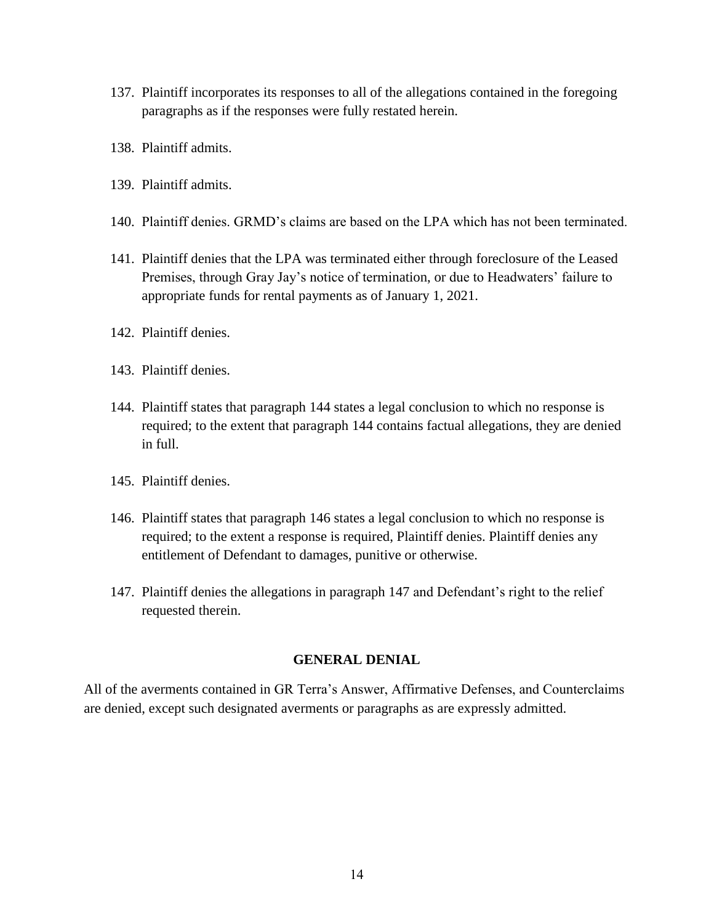- 137. Plaintiff incorporates its responses to all of the allegations contained in the foregoing paragraphs as if the responses were fully restated herein.
- 138. Plaintiff admits.
- 139. Plaintiff admits.
- 140. Plaintiff denies. GRMD's claims are based on the LPA which has not been terminated.
- 141. Plaintiff denies that the LPA was terminated either through foreclosure of the Leased Premises, through Gray Jay's notice of termination, or due to Headwaters' failure to appropriate funds for rental payments as of January 1, 2021.
- 142. Plaintiff denies.
- 143. Plaintiff denies.
- 144. Plaintiff states that paragraph 144 states a legal conclusion to which no response is required; to the extent that paragraph 144 contains factual allegations, they are denied in full.
- 145. Plaintiff denies.
- 146. Plaintiff states that paragraph 146 states a legal conclusion to which no response is required; to the extent a response is required, Plaintiff denies. Plaintiff denies any entitlement of Defendant to damages, punitive or otherwise.
- 147. Plaintiff denies the allegations in paragraph 147 and Defendant's right to the relief requested therein.

#### **GENERAL DENIAL**

All of the averments contained in GR Terra's Answer, Affirmative Defenses, and Counterclaims are denied, except such designated averments or paragraphs as are expressly admitted.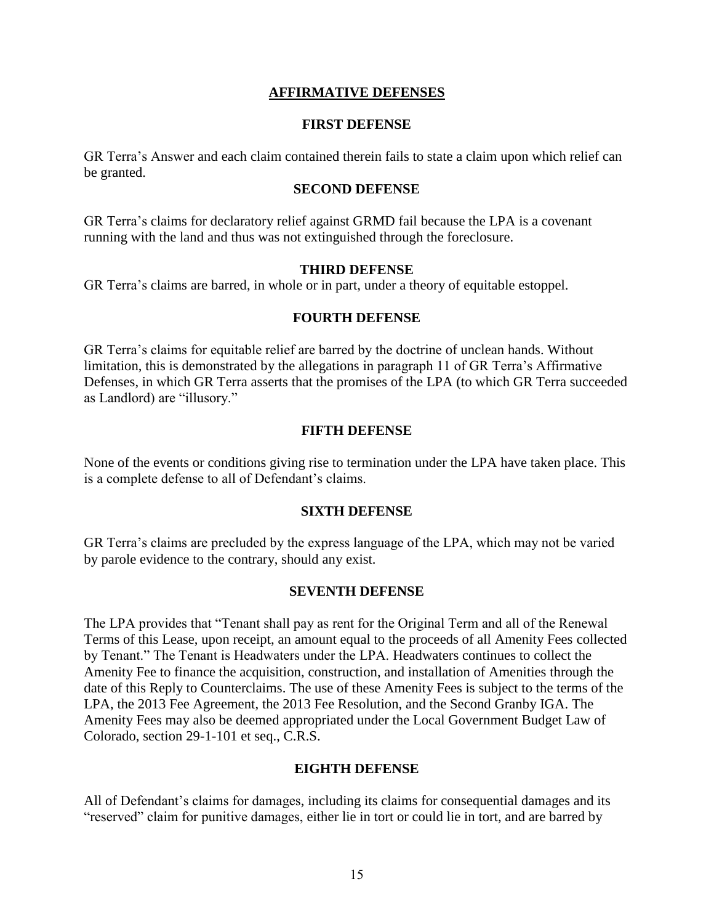## **AFFIRMATIVE DEFENSES**

#### **FIRST DEFENSE**

GR Terra's Answer and each claim contained therein fails to state a claim upon which relief can be granted.

#### **SECOND DEFENSE**

GR Terra's claims for declaratory relief against GRMD fail because the LPA is a covenant running with the land and thus was not extinguished through the foreclosure.

#### **THIRD DEFENSE**

GR Terra's claims are barred, in whole or in part, under a theory of equitable estoppel.

## **FOURTH DEFENSE**

GR Terra's claims for equitable relief are barred by the doctrine of unclean hands. Without limitation, this is demonstrated by the allegations in paragraph 11 of GR Terra's Affirmative Defenses, in which GR Terra asserts that the promises of the LPA (to which GR Terra succeeded as Landlord) are "illusory."

#### **FIFTH DEFENSE**

None of the events or conditions giving rise to termination under the LPA have taken place. This is a complete defense to all of Defendant's claims.

#### **SIXTH DEFENSE**

GR Terra's claims are precluded by the express language of the LPA, which may not be varied by parole evidence to the contrary, should any exist.

#### **SEVENTH DEFENSE**

The LPA provides that "Tenant shall pay as rent for the Original Term and all of the Renewal Terms of this Lease, upon receipt, an amount equal to the proceeds of all Amenity Fees collected by Tenant." The Tenant is Headwaters under the LPA. Headwaters continues to collect the Amenity Fee to finance the acquisition, construction, and installation of Amenities through the date of this Reply to Counterclaims. The use of these Amenity Fees is subject to the terms of the LPA, the 2013 Fee Agreement, the 2013 Fee Resolution, and the Second Granby IGA. The Amenity Fees may also be deemed appropriated under the Local Government Budget Law of Colorado, section 29-1-101 et seq., C.R.S.

## **EIGHTH DEFENSE**

All of Defendant's claims for damages, including its claims for consequential damages and its "reserved" claim for punitive damages, either lie in tort or could lie in tort, and are barred by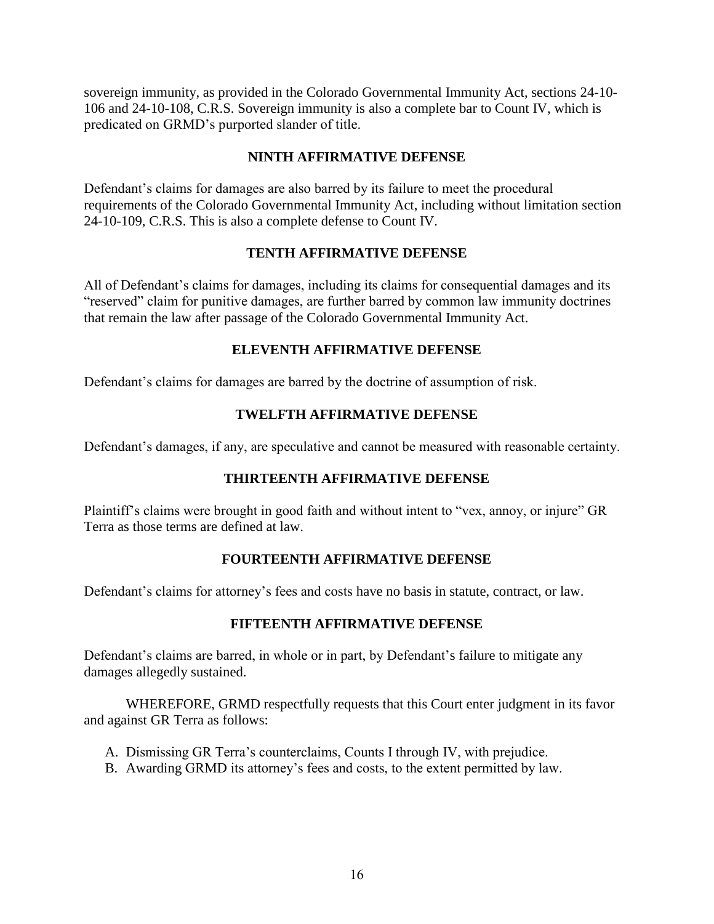sovereign immunity, as provided in the Colorado Governmental Immunity Act, sections 24-10- 106 and 24-10-108, C.R.S. Sovereign immunity is also a complete bar to Count IV, which is predicated on GRMD's purported slander of title.

# **NINTH AFFIRMATIVE DEFENSE**

Defendant's claims for damages are also barred by its failure to meet the procedural requirements of the Colorado Governmental Immunity Act, including without limitation section 24-10-109, C.R.S. This is also a complete defense to Count IV.

## **TENTH AFFIRMATIVE DEFENSE**

All of Defendant's claims for damages, including its claims for consequential damages and its "reserved" claim for punitive damages, are further barred by common law immunity doctrines that remain the law after passage of the Colorado Governmental Immunity Act.

## **ELEVENTH AFFIRMATIVE DEFENSE**

Defendant's claims for damages are barred by the doctrine of assumption of risk.

# **TWELFTH AFFIRMATIVE DEFENSE**

Defendant's damages, if any, are speculative and cannot be measured with reasonable certainty.

## **THIRTEENTH AFFIRMATIVE DEFENSE**

Plaintiff's claims were brought in good faith and without intent to "vex, annoy, or injure" GR Terra as those terms are defined at law.

## **FOURTEENTH AFFIRMATIVE DEFENSE**

Defendant's claims for attorney's fees and costs have no basis in statute, contract, or law.

# **FIFTEENTH AFFIRMATIVE DEFENSE**

Defendant's claims are barred, in whole or in part, by Defendant's failure to mitigate any damages allegedly sustained.

WHEREFORE, GRMD respectfully requests that this Court enter judgment in its favor and against GR Terra as follows:

- A. Dismissing GR Terra's counterclaims, Counts I through IV, with prejudice.
- B. Awarding GRMD its attorney's fees and costs, to the extent permitted by law.